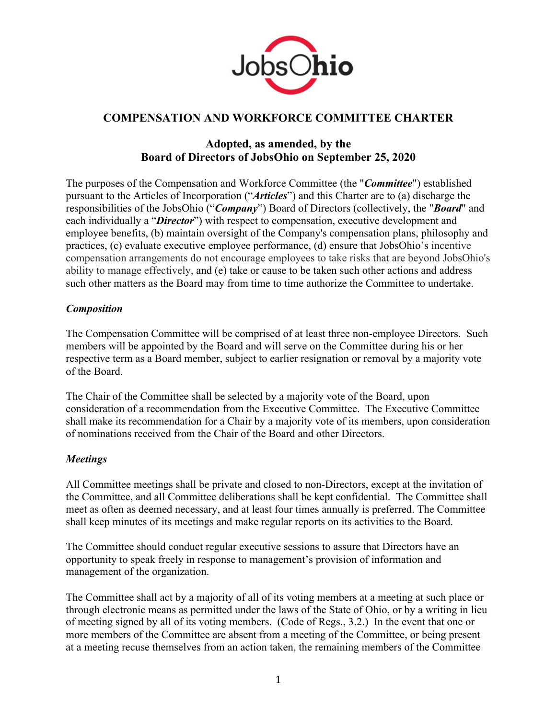

# **COMPENSATION AND WORKFORCE COMMITTEE CHARTER**

# **Adopted, as amended, by the Board of Directors of JobsOhio on September 25, 2020**

The purposes of the Compensation and Workforce Committee (the "*Committee*") established pursuant to the Articles of Incorporation ("*Articles*") and this Charter are to (a) discharge the responsibilities of the JobsOhio ("*Company*") Board of Directors (collectively, the "*Board*" and each individually a "*Director*") with respect to compensation, executive development and employee benefits, (b) maintain oversight of the Company's compensation plans, philosophy and practices, (c) evaluate executive employee performance, (d) ensure that JobsOhio's incentive compensation arrangements do not encourage employees to take risks that are beyond JobsOhio's ability to manage effectively, and (e) take or cause to be taken such other actions and address such other matters as the Board may from time to time authorize the Committee to undertake.

## *Composition*

The Compensation Committee will be comprised of at least three non-employee Directors. Such members will be appointed by the Board and will serve on the Committee during his or her respective term as a Board member, subject to earlier resignation or removal by a majority vote of the Board.

The Chair of the Committee shall be selected by a majority vote of the Board, upon consideration of a recommendation from the Executive Committee. The Executive Committee shall make its recommendation for a Chair by a majority vote of its members, upon consideration of nominations received from the Chair of the Board and other Directors.

## *Meetings*

All Committee meetings shall be private and closed to non-Directors, except at the invitation of the Committee, and all Committee deliberations shall be kept confidential. The Committee shall meet as often as deemed necessary, and at least four times annually is preferred. The Committee shall keep minutes of its meetings and make regular reports on its activities to the Board.

The Committee should conduct regular executive sessions to assure that Directors have an opportunity to speak freely in response to management's provision of information and management of the organization.

The Committee shall act by a majority of all of its voting members at a meeting at such place or through electronic means as permitted under the laws of the State of Ohio, or by a writing in lieu of meeting signed by all of its voting members. (Code of Regs., 3.2.) In the event that one or more members of the Committee are absent from a meeting of the Committee, or being present at a meeting recuse themselves from an action taken, the remaining members of the Committee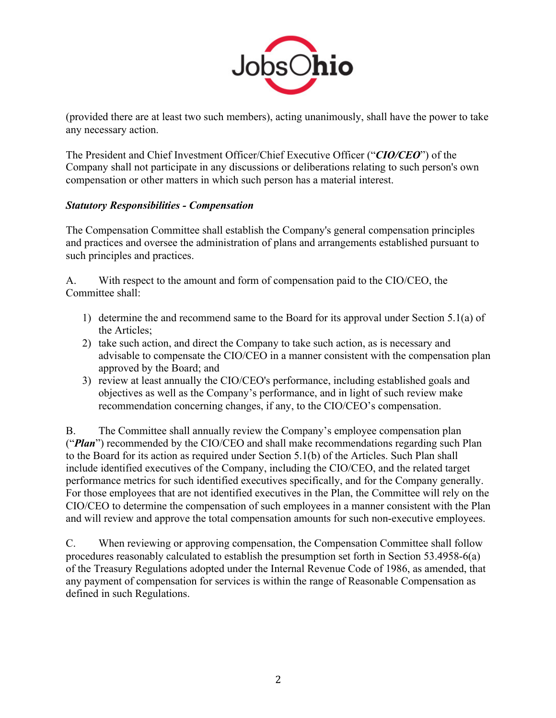

(provided there are at least two such members), acting unanimously, shall have the power to take any necessary action.

The President and Chief Investment Officer/Chief Executive Officer ("*CIO/CEO*") of the Company shall not participate in any discussions or deliberations relating to such person's own compensation or other matters in which such person has a material interest.

## *Statutory Responsibilities - Compensation*

The Compensation Committee shall establish the Company's general compensation principles and practices and oversee the administration of plans and arrangements established pursuant to such principles and practices.

A. With respect to the amount and form of compensation paid to the CIO/CEO, the Committee shall:

- 1) determine the and recommend same to the Board for its approval under Section 5.1(a) of the Articles;
- 2) take such action, and direct the Company to take such action, as is necessary and advisable to compensate the CIO/CEO in a manner consistent with the compensation plan approved by the Board; and
- 3) review at least annually the CIO/CEO's performance, including established goals and objectives as well as the Company's performance, and in light of such review make recommendation concerning changes, if any, to the CIO/CEO's compensation.

B. The Committee shall annually review the Company's employee compensation plan ("*Plan*") recommended by the CIO/CEO and shall make recommendations regarding such Plan to the Board for its action as required under Section 5.1(b) of the Articles. Such Plan shall include identified executives of the Company, including the CIO/CEO, and the related target performance metrics for such identified executives specifically, and for the Company generally. For those employees that are not identified executives in the Plan, the Committee will rely on the CIO/CEO to determine the compensation of such employees in a manner consistent with the Plan and will review and approve the total compensation amounts for such non-executive employees.

C. When reviewing or approving compensation, the Compensation Committee shall follow procedures reasonably calculated to establish the presumption set forth in Section 53.4958-6(a) of the Treasury Regulations adopted under the Internal Revenue Code of 1986, as amended, that any payment of compensation for services is within the range of Reasonable Compensation as defined in such Regulations.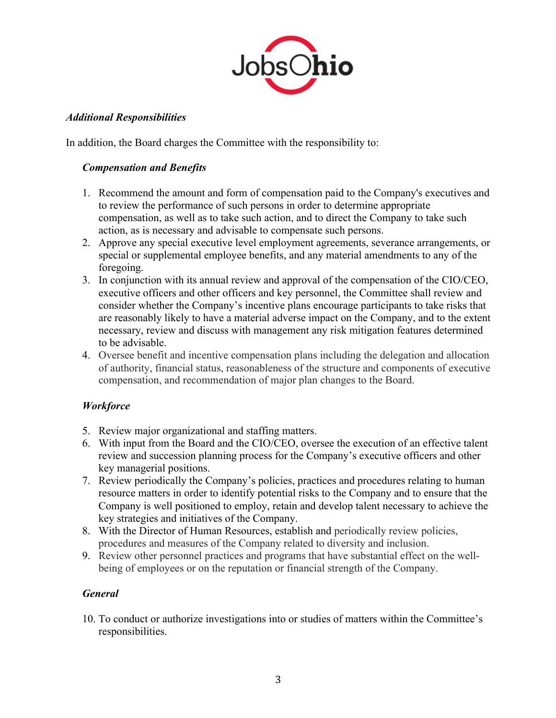

#### *Additional Responsibilities*

In addition, the Board charges the Committee with the responsibility to:

#### *Compensation and Benefits*

- 1. Recommend the amount and form of compensation paid to the Company's executives and to review the performance of such persons in order to determine appropriate compensation, as well as to take such action, and to direct the Company to take such action, as is necessary and advisable to compensate such persons.
- 2. Approve any special executive level employment agreements, severance arrangements, or special or supplemental employee benefits, and any material amendments to any of the foregoing.
- 3. In conjunction with its annual review and approval of the compensation of the CIO/CEO, executive officers and other officers and key personnel, the Committee shall review and consider whether the Company's incentive plans encourage participants to take risks that are reasonably likely to have a material adverse impact on the Company, and to the extent necessary, review and discuss with management any risk mitigation features determined to be advisable.
- 4. Oversee benefit and incentive compensation plans including the delegation and allocation of authority, financial status, reasonableness of the structure and components of executive compensation, and recommendation of major plan changes to the Board.

## *Workforce*

- 5. Review major organizational and staffing matters.
- 6. With input from the Board and the CIO/CEO, oversee the execution of an effective talent review and succession planning process for the Company's executive officers and other key managerial positions.
- 7. Review periodically the Company's policies, practices and procedures relating to human resource matters in order to identify potential risks to the Company and to ensure that the Company is well positioned to employ, retain and develop talent necessary to achieve the key strategies and initiatives of the Company.
- 8. With the Director of Human Resources, establish and periodically review policies, procedures and measures of the Company related to diversity and inclusion.
- 9. Review other personnel practices and programs that have substantial effect on the wellbeing of employees or on the reputation or financial strength of the Company.

## *General*

10. To conduct or authorize investigations into or studies of matters within the Committee's responsibilities.